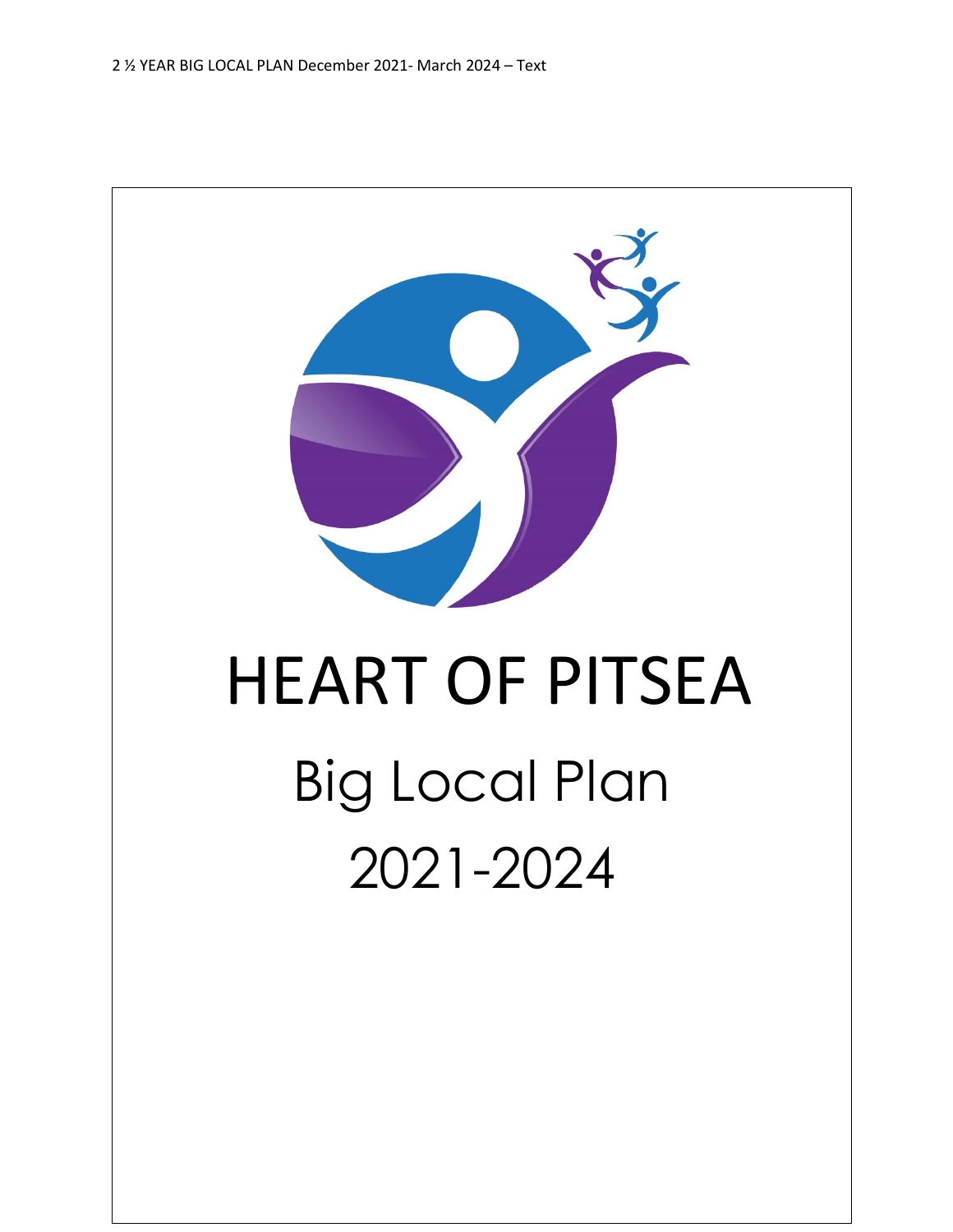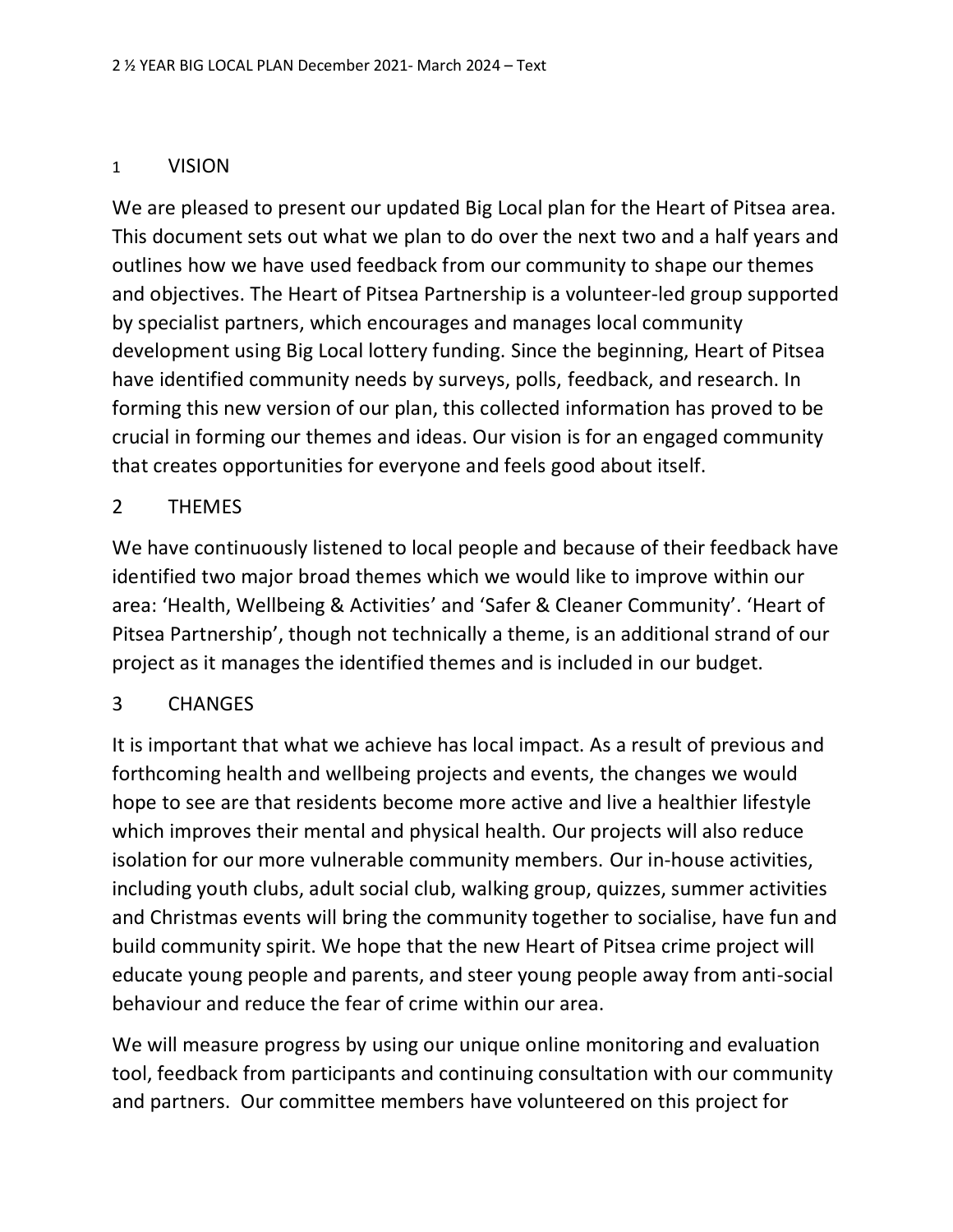## 1 VISION

We are pleased to present our updated Big Local plan for the Heart of Pitsea area. This document sets out what we plan to do over the next two and a half years and outlines how we have used feedback from our community to shape our themes and objectives. The Heart of Pitsea Partnership is a volunteer-led group supported by specialist partners, which encourages and manages local community development using Big Local lottery funding. Since the beginning, Heart of Pitsea have identified community needs by surveys, polls, feedback, and research. In forming this new version of our plan, this collected information has proved to be crucial in forming our themes and ideas. Our vision is for an engaged community that creates opportunities for everyone and feels good about itself.

## 2 THEMES

We have continuously listened to local people and because of their feedback have identified two major broad themes which we would like to improve within our area: 'Health, Wellbeing & Activities' and 'Safer & Cleaner Community'. 'Heart of Pitsea Partnership', though not technically a theme, is an additional strand of our project as it manages the identified themes and is included in our budget.

## 3 CHANGES

It is important that what we achieve has local impact. As a result of previous and forthcoming health and wellbeing projects and events, the changes we would hope to see are that residents become more active and live a healthier lifestyle which improves their mental and physical health. Our projects will also reduce isolation for our more vulnerable community members. Our in-house activities, including youth clubs, adult social club, walking group, quizzes, summer activities and Christmas events will bring the community together to socialise, have fun and build community spirit. We hope that the new Heart of Pitsea crime project will educate young people and parents, and steer young people away from anti-social behaviour and reduce the fear of crime within our area.

We will measure progress by using our unique online monitoring and evaluation tool, feedback from participants and continuing consultation with our community and partners. Our committee members have volunteered on this project for